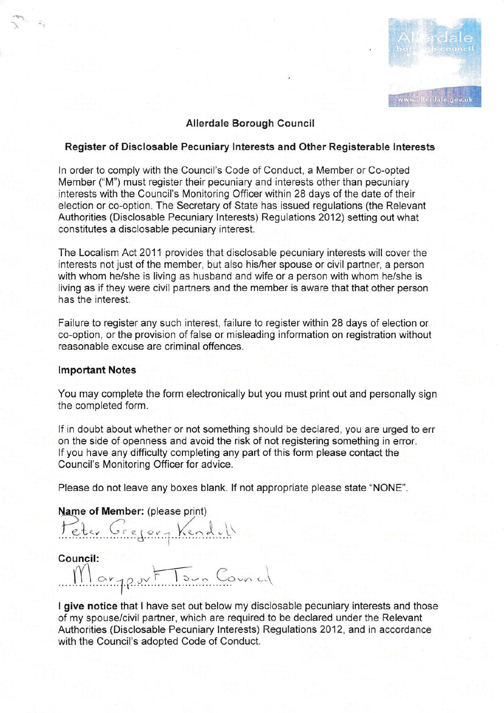

## Allerdale Borough Counci!

## Register of Disclosable Pecuniary lnterests and Other Registerable lnterests

ln order to compiy with the Council's Code of Conduct, a Member on Co-opted Member ("M") must register their pecuniary and interests other than pecuniary interests with the Council's Monitoring Officer within 28 days of the date of their election or co-option. The Secretary of State has issued regulations (the Relevant Authorities (Disclosable Pecuniary lnterests) Regulations 2012) setting out what constitutes a disciosable pecuniary interest.

The Localisnn Act 2011 provides that disclosable pecuniary interests wili cover the interests not just of the mernber, but also his/her spouse or civil partner, a person with whom he/she is living as husband and wife or a person with whom he/she is living as if they were civil partners and the member is aware that that other person has the interest.

Failure to register any such interest, failure to register within 28 days of election or co-option, or the provision of false or misleading information on registration without reasonable excuse are criminal offences.

#### **Important Notes**

You may complete the form electronically but you must print out and personally sign the completed form.

lf in doubt about whether or not something should be declared, you are urged to err on the side of openness and avoid the risk of not registering something in error. lf you have any difficulty completing any part of this form please contact the Council's Monitoring Officer for advice.

Please do not leave any boxes blank. lf not appropriate please state "NONE".

Name of Member: (please print)

Peter Gregory Kendel

Council:  $M_{\alpha\nu}$ qport Tour Council JI

I give notice that I have set out below my disclosable pecuniary interests and those of my spouse/civil partner, which are required to be declared under the Relevant Authorities (Disclosable Pecuniary lnrterests) Regulations 2012, and in accordance with the Council's adopted Code of Conduct.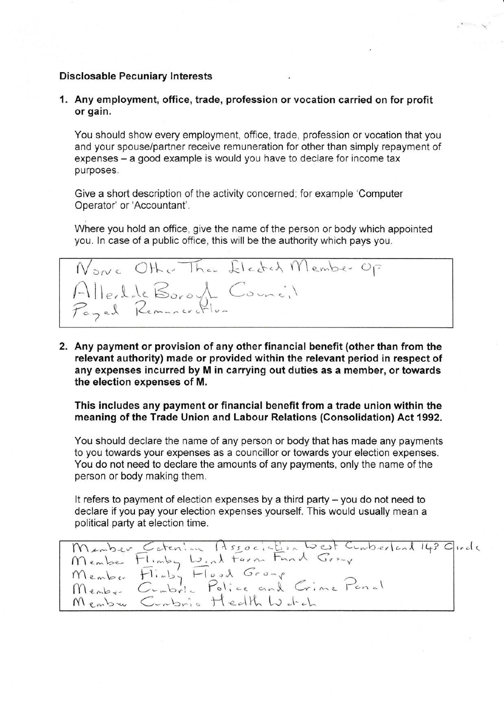## Disclosable Pecuniary Interests

1. Any employment, office, trade, profession orvocation carried on for profit or gain.

You should show every employment, office, trade, profession or vocation that you and your spouse/partner receive remuneration for other than simply repayment of expenses - a good example is would you have to declare for income tax purposes.

Give a short description of the activity concerned; for example 'Computer Operator' or'Accountant'.

Where you hold an office, give the name of the person or body which appointed you. ln case of a public office, this will be the authority which pays you.



2. Any payment or provision of any other financial benefit (other than from the relevant authority) made or provided within the relevant period in respect of any expenses incurred by M in carrying out duties as a member, or towards the election expenses of M.

This includes any payment or financial benefit from a trade union within the meaning of the Trade Union and Labour Relations (Consolidation) Act 1992.

You should declare the name of any person or body that has made any payments to you towards your expenses as a councillor or towards your election expenses. You do not need to declare the amounts of any payments, only the name of the person or body making them.

It refers to payment of election expenses by a third party  $-$  you do not need to declare if you pay your election expenses yourself. This would usually mean a political party at election time.

Menber Cotenion Association West Comberland 14? Girde mens.<br>Menbe  $M$ embo  $M$ enbe-Menbre Conbrie Hedth Worch  $\frac{1}{2}$ . Association west Cunberland 143  $F$ linby  $\omega_{i\alpha}$  term  $F$  and  $G$ r-v  $\overline{H}_{i}^{n}$   $\overline{H}_{i}^{n}$   $\overline{H}_{i}^{n}$   $\overline{H}_{i}^{n}$   $\overline{H}_{i}^{n}$   $\overline{H}_{i}^{n}$   $\overline{H}_{i}^{n}$ Cumbrie Police and Crime Penal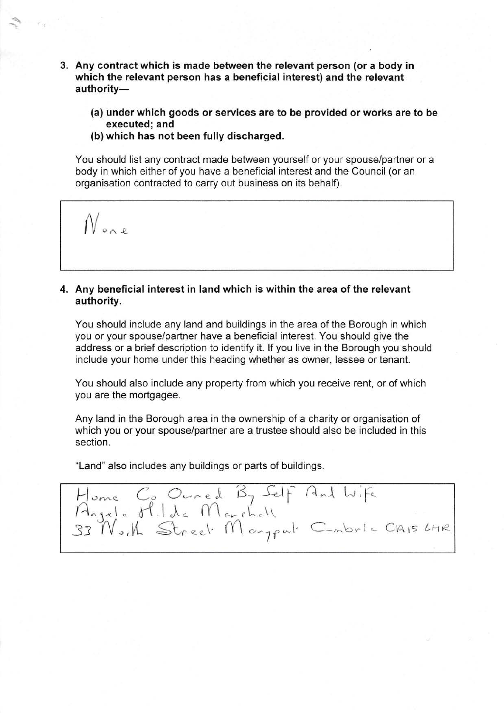- 3. Any contract which is made between the relevant person (or a body in which the relevant person has a beneficial interest) and the relevant authority-
	- (a) under which goods or services are to be provided or works are to be executed; and
	- (b) which has not been fully discharged.

You should list any contract made between yourself or your spouse/partner or a body in which either of you have a beneficial interest and the Council (or an organisation contracted to carry out business on its behalf).

 $N_{max}$ 

# 4. Any beneficial interest in land which is within the area of the relevant authority.

You should include any land and buildings in the area of the Borough in which you or your spouse/partner have a beneficial interest. You should give the address or a brief description to identify it. If you live in the Borough you should include your home under this heading whether as owner, lessee or tenant.

You should also include any property from which you receive rent, or of which you are the mortgagee.

Any land in the Borough area in the ownership of a charity or organisation of which you or your spouse/partner are a trustee should also be included in this section.

"Land" also includes any buildings or parts of buildings.

Home Co Oured By Self And Wife<br>Arjela H.I.d. Marshall<br>33 No.M Street Margeut Combrie Clais LHR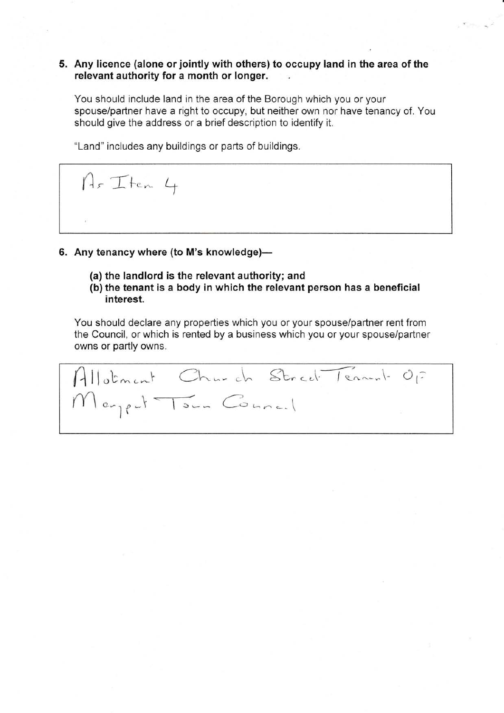## 5. Any licence (alone or jointly with others) to occupy land in the area of the relevant authority for a month or longer.

You should include land in the area of the Borough which you or your spouse/partner have a right to occupy, but neither own nor have tenancy of. You should give the address or a brief description to identify it.

"Land" includes any buildings or parts of buildings.

Ar Iten 4

# 6. Any tenancy where (to M's knowledge)-

- (a) the landlord is the relevant authority; and
- (b) the tenant is a body in which the relevant person has a beneficial interest.

You should declare any properties which you or your spouse/partner rent from the Council, or which is rented by a business which you or your spouse/partner owns or partly owns.

 $\int$ llotment Church Street Tenn-1- Op  $m_{\text{en}}$  ,  $\frac{1}{\sqrt{2}}$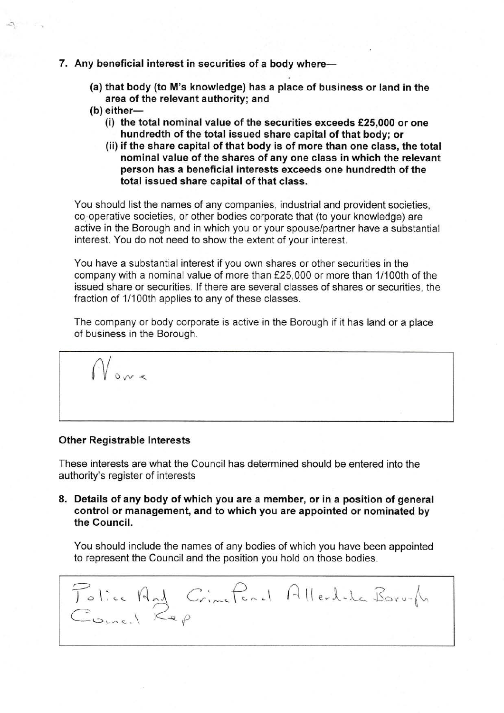### 7. Any beneficial interest in securities of a body where-

- (a) that body (to M's knowledge) has a place of business or land in the area of the relevant authority; and
- $(b)$  either-
	- (i) the total nominal value of the securities exceeds  $£25,000$  or one hundredth of the total issued share capital of that body; or
	- (ii) if the share capital of that body is of more than one class, the total nominal value of the shares of any one class in which the relevant person has a beneficial interests exceeds one hundredth of the total issued share capital of that class.

You should list the names of any companies, industrial and provident societies, co-operative societies, or other bodies corporate that (to your knowledge) are active in the Borough and in which you or your spouse/partner have a substantial interest. You do not need to show the extent of your interest.

You have a substantial interest if you own shares or other securities in the company with a nominal value of more than f25,000 or more than 1/100th of the issued share or securities. lf there are several classes of shares or securities, the fraction of 1/100th applies to any of these classes.

The company or body corporate is active in the Borough if it has land or a place of business in the Borough.

 $V_{\rm{ov}}$ 

#### Other Registrable lnterests

These interests are what the Council has determined should be entered into the authority's register of interests

8. Details of any body of which you are a member, or in a position of general control or management, and to which you are appointed or nominated by the Gouncil.

You should include the names of any bodies of which you have been appointed to represent the Council and the position you hold on those bodies.

Tolice And Crimeford Allechale Boro-An